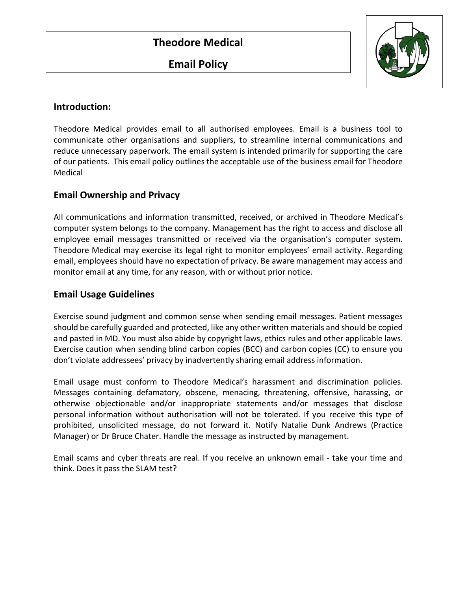**Email Policy**



## **Introduction:**

Theodore Medical provides email to all authorised employees. Email is a business tool to communicate other organisations and suppliers, to streamline internal communications and reduce unnecessary paperwork. The email system is intended primarily for supporting the care of our patients. This email policy outlines the acceptable use of the business email for Theodore Medical

# **Email Ownership and Privacy**

All communications and information transmitted, received, or archived in Theodore Medical's computer system belongs to the company. Management has the right to access and disclose all employee email messages transmitted or received via the organisation's computer system. Theodore Medical may exercise its legal right to monitor employees' email activity. Regarding email, employees should have no expectation of privacy. Be aware management may access and monitor email at any time, for any reason, with or without prior notice.

# **Email Usage Guidelines**

Exercise sound judgment and common sense when sending email messages. Patient messages should be carefully guarded and protected, like any other written materials and should be copied and pasted in MD. You must also abide by copyright laws, ethics rules and other applicable laws. Exercise caution when sending blind carbon copies (BCC) and carbon copies (CC) to ensure you don't violate addressees' privacy by inadvertently sharing email address information.

Email usage must conform to Theodore Medical's harassment and discrimination policies. Messages containing defamatory, obscene, menacing, threatening, offensive, harassing, or otherwise objectionable and/or inappropriate statements and/or messages that disclose personal information without authorisation will not be tolerated. If you receive this type of prohibited, unsolicited message, do not forward it. Notify Natalie Dunk Andrews (Practice Manager) or Dr Bruce Chater. Handle the message as instructed by management.

Email scams and cyber threats are real. If you receive an unknown email - take your time and think. Does it pass the SLAM test?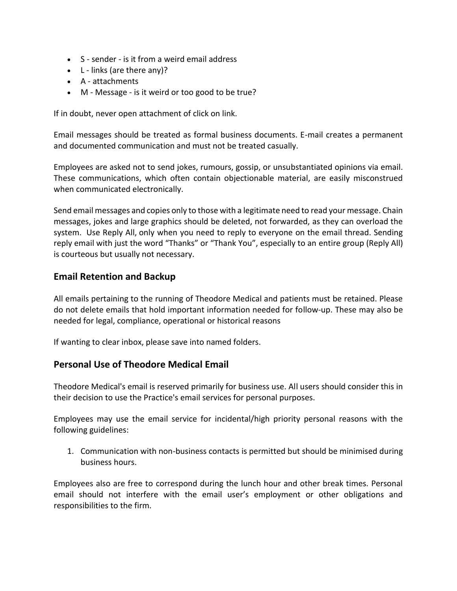- S sender is it from a weird email address
- $\bullet$  L links (are there any)?
- A attachments
- M Message is it weird or too good to be true?

If in doubt, never open attachment of click on link.

Email messages should be treated as formal business documents. E-mail creates a permanent and documented communication and must not be treated casually.

Employees are asked not to send jokes, rumours, gossip, or unsubstantiated opinions via email. These communications, which often contain objectionable material, are easily misconstrued when communicated electronically.

Send email messages and copies only to those with a legitimate need to read your message. Chain messages, jokes and large graphics should be deleted, not forwarded, as they can overload the system. Use Reply All, only when you need to reply to everyone on the email thread. Sending reply email with just the word "Thanks" or "Thank You", especially to an entire group (Reply All) is courteous but usually not necessary.

## **Email Retention and Backup**

All emails pertaining to the running of Theodore Medical and patients must be retained. Please do not delete emails that hold important information needed for follow-up. These may also be needed for legal, compliance, operational or historical reasons

If wanting to clear inbox, please save into named folders.

#### **Personal Use of Theodore Medical Email**

Theodore Medical's email is reserved primarily for business use. All users should consider this in their decision to use the Practice's email services for personal purposes.

Employees may use the email service for incidental/high priority personal reasons with the following guidelines:

1. Communication with non-business contacts is permitted but should be minimised during business hours.

Employees also are free to correspond during the lunch hour and other break times. Personal email should not interfere with the email user's employment or other obligations and responsibilities to the firm.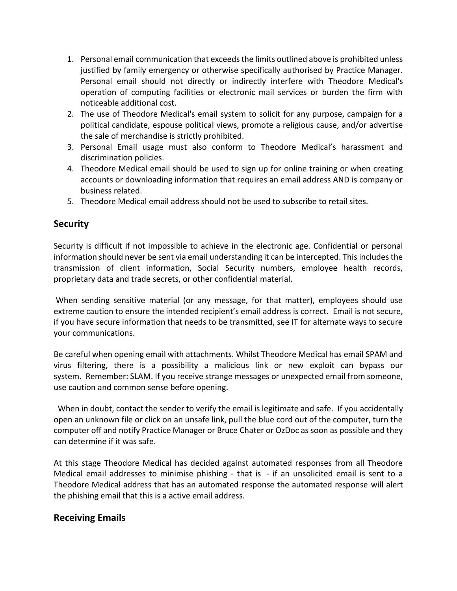- 1. Personal email communication that exceeds the limits outlined above is prohibited unless justified by family emergency or otherwise specifically authorised by Practice Manager. Personal email should not directly or indirectly interfere with Theodore Medical's operation of computing facilities or electronic mail services or burden the firm with noticeable additional cost.
- 2. The use of Theodore Medical's email system to solicit for any purpose, campaign for a political candidate, espouse political views, promote a religious cause, and/or advertise the sale of merchandise is strictly prohibited.
- 3. Personal Email usage must also conform to Theodore Medical's harassment and discrimination policies.
- 4. Theodore Medical email should be used to sign up for online training or when creating accounts or downloading information that requires an email address AND is company or business related.
- 5. Theodore Medical email address should not be used to subscribe to retail sites.

#### **Security**

Security is difficult if not impossible to achieve in the electronic age. Confidential or personal information should never be sent via email understanding it can be intercepted. This includes the transmission of client information, Social Security numbers, employee health records, proprietary data and trade secrets, or other confidential material.

When sending sensitive material (or any message, for that matter), employees should use extreme caution to ensure the intended recipient's email address is correct. Email is not secure, if you have secure information that needs to be transmitted, see IT for alternate ways to secure your communications.

Be careful when opening email with attachments. Whilst Theodore Medical has email SPAM and virus filtering, there is a possibility a malicious link or new exploit can bypass our system. Remember: SLAM. If you receive strange messages or unexpected email from someone, use caution and common sense before opening.

When in doubt, contact the sender to verify the email is legitimate and safe. If you accidentally open an unknown file or click on an unsafe link, pull the blue cord out of the computer, turn the computer off and notify Practice Manager or Bruce Chater or OzDoc as soon as possible and they can determine if it was safe.

At this stage Theodore Medical has decided against automated responses from all Theodore Medical email addresses to minimise phishing - that is - if an unsolicited email is sent to a Theodore Medical address that has an automated response the automated response will alert the phishing email that this is a active email address.

#### **Receiving Emails**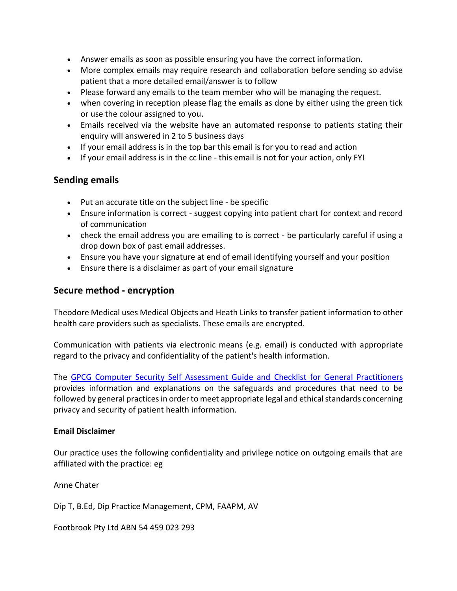- Answer emails as soon as possible ensuring you have the correct information.
- More complex emails may require research and collaboration before sending so advise patient that a more detailed email/answer is to follow
- Please forward any emails to the team member who will be managing the request.
- when covering in reception please flag the emails as done by either using the green tick or use the colour assigned to you.
- Emails received via the website have an automated response to patients stating their enquiry will answered in 2 to 5 business days
- If your email address is in the top bar this email is for you to read and action
- If your email address is in the cc line this email is not for your action, only FYI

## **Sending emails**

- Put an accurate title on the subject line be specific
- Ensure information is correct suggest copying into patient chart for context and record of communication
- check the email address you are emailing to is correct be particularly careful if using a drop down box of past email addresses.
- Ensure you have your signature at end of email identifying yourself and your position
- Ensure there is a disclaimer as part of your email signature

### **Secure method - encryption**

Theodore Medical uses Medical Objects and Heath Links to transfer patient information to other health care providers such as specialists. These emails are encrypted.

Communication with patients via electronic means (e.g. email) is conducted with appropriate regard to the privacy and confidentiality of the patient's health information.

The [GPCG Computer Security Self Assessment Guide and](http://www.gpcg.org.au/index.php?option=com_content&task=view&id=128&Itemid=38) Checklist for General Practitioners provides information and explanations on the safeguards and procedures that need to be followed by general practices in order to meet appropriate legal and ethical standards concerning privacy and security of patient health information.

#### **Email Disclaimer**

Our practice uses the following confidentiality and privilege notice on outgoing emails that are affiliated with the practice: eg

Anne Chater

Dip T, B.Ed, Dip Practice Management, CPM, FAAPM, AV

Footbrook Pty Ltd ABN 54 459 023 293